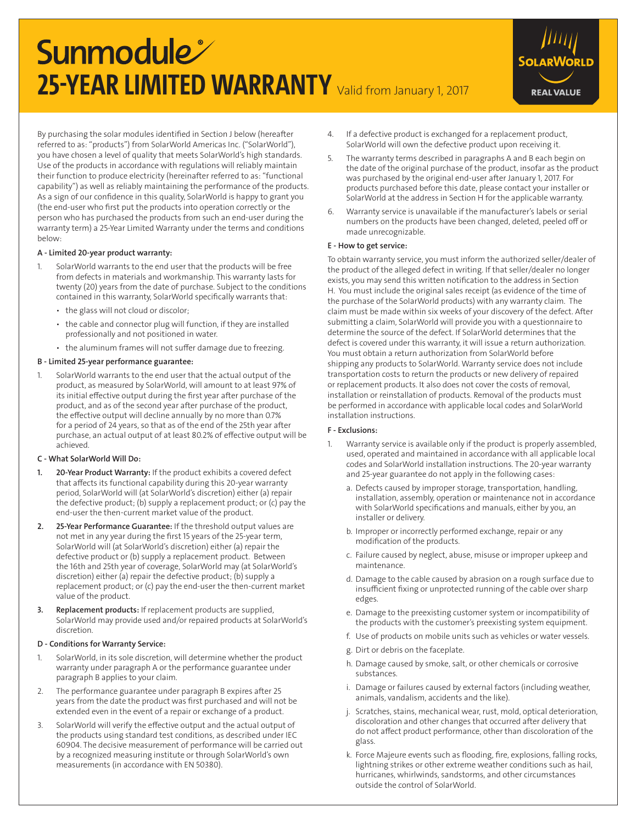# **Sunmodule 25-YEAR LIMITED WARRANTY** Valid from January 1, 2017



By purchasing the solar modules identified in Section J below (hereafter referred to as: "products") from SolarWorld Americas Inc. ("SolarWorld"), you have chosen a level of quality that meets SolarWorld's high standards. Use of the products in accordance with regulations will reliably maintain their function to produce electricity (hereinafter referred to as: "functional capability") as well as reliably maintaining the performance of the products. As a sign of our confidence in this quality, SolarWorld is happy to grant you (the end-user who first put the products into operation correctly or the person who has purchased the products from such an end-user during the warranty term) a 25-Year Limited Warranty under the terms and conditions below:

## A - Limited 20-year product warranty:

- 1. SolarWorld warrants to the end user that the products will be free from defects in materials and workmanship. This warranty lasts for twenty (20) years from the date of purchase. Subject to the conditions contained in this warranty, SolarWorld specifically warrants that:
	- the glass will not cloud or discolor;
	- the cable and connector plug will function, if they are installed professionally and not positioned in water.
	- the aluminum frames will not suffer damage due to freezing.

#### B - Limited 25-year performance guarantee:

1. SolarWorld warrants to the end user that the actual output of the product, as measured by SolarWorld, will amount to at least 97% of its initial effective output during the first year after purchase of the product, and as of the second year after purchase of the product, the effective output will decline annually by no more than 0.7% for a period of 24 years, so that as of the end of the 25th year after purchase, an actual output of at least 80.2% of effective output will be .<br>achieved.

## C - What SolarWorld Will Do:

- 1. 20-Year Product Warranty: If the product exhibits a covered defect that affects its functional capability during this 20-year warranty period, SolarWorld will (at SolarWorld's discretion) either (a) repair the defective product; (b) supply a replacement product; or (c) pay the end-user the then-current market value of the product.
- 2. 25-Year Performance Guarantee: If the threshold output values are not met in any year during the first 15 years of the 25-year term, SolarWorld will (at SolarWorld's discretion) either (a) repair the defective product or (b) supply a replacement product. Between the 16th and 25th year of coverage, SolarWorld may (at SolarWorld's discretion) either (a) repair the defective product; (b) supply a replacement product; or (c) pay the end-user the then-current market value of the product.
- 3. Replacement products: If replacement products are supplied, SolarWorld may provide used and/or repaired products at SolarWorld's discretion.

#### D - Conditions for Warranty Service:

- 1. SolarWorld, in its sole discretion, will determine whether the product warranty under paragraph A or the performance guarantee under paragraph B applies to your claim.
- 2. The performance guarantee under paragraph B expires after 25 years from the date the product was first purchased and will not be extended even in the event of a repair or exchange of a product.
- 3. SolarWorld will verify the effective output and the actual output of the products using standard test conditions, as described under IEC 60904. The decisive measurement of performance will be carried out by a recognized measuring institute or through SolarWorld's own measurements (in accordance with EN 50380).
- 4. If a defective product is exchanged for a replacement product, SolarWorld will own the defective product upon receiving it.
- 5. The warranty terms described in paragraphs A and B each begin on the date of the original purchase of the product, insofar as the product was purchased by the original end-user after January 1, 2017. For products purchased before this date, please contact your installer or SolarWorld at the address in Section H for the applicable warranty.
- 6. Warranty service is unavailable if the manufacturer's labels or serial numbers on the products have been changed, deleted, peeled off or made unrecognizable.

#### E - How to get service:

To obtain warranty service, you must inform the authorized seller/dealer of the product of the alleged defect in writing. If that seller/dealer no longer exists, you may send this written notification to the address in Section H. You must include the original sales receipt (as evidence of the time of the purchase of the SolarWorld products) with any warranty claim. The claim must be made within six weeks of your discovery of the defect. After submitting a claim, SolarWorld will provide you with a questionnaire to determine the source of the defect. If SolarWorld determines that the defect is covered under this warranty, it will issue a return authorization. You must obtain a return authorization from SolarWorld before shipping any products to SolarWorld. Warranty service does not include transportation costs to return the products or new delivery of repaired or replacement products. It also does not cover the costs of removal, installation or reinstallation of products. Removal of the products must be performed in accordance with applicable local codes and SolarWorld installation instructions.

#### F - Exclusions:

- 1. Warranty service is available only if the product is properly assembled, used, operated and maintained in accordance with all applicable local codes and SolarWorld installation instructions. The 20-year warranty and 25-year guarantee do not apply in the following cases:
	- a. Defects caused by improper storage, transportation, handling, installation, assembly, operation or maintenance not in accordance with SolarWorld specifications and manuals, either by you, an installer or delivery.
	- b. Improper or incorrectly performed exchange, repair or any modification of the products.
	- c. Failure caused by neglect, abuse, misuse or improper upkeep and maintenance.
	- d. Damage to the cable caused by abrasion on a rough surface due to insufficient fixing or unprotected running of the cable over sharp edges.
	- e. Damage to the preexisting customer system or incompatibility of the products with the customer's preexisting system equipment.
	- f. Use of products on mobile units such as vehicles or water vessels.
	- g. Dirt or debris on the faceplate.
	- h. Damage caused by smoke, salt, or other chemicals or corrosive substances.
	- i. Damage or failures caused by external factors (including weather, animals, vandalism, accidents and the like).
	- j. Scratches, stains, mechanical wear, rust, mold, optical deterioration, discoloration and other changes that occurred after delivery that do not affect product performance, other than discoloration of the glass.
	- k. Force Majeure events such as flooding, fire, explosions, falling rocks, lightning strikes or other extreme weather conditions such as hail, hurricanes, whirlwinds, sandstorms, and other circumstances outside the control of SolarWorld.